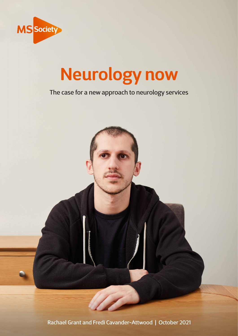

# **Neurology now**

### The case for a new approach to neurology services

Rachael Grant and Fredi Cavander-Attwood | October 2021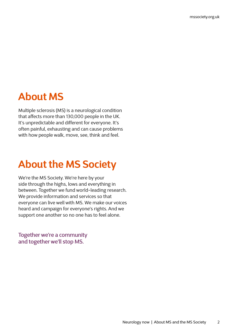### **About MS**

Multiple sclerosis (MS) is a neurological condition that affects more than 130,000 people in the UK. It's unpredictable and different for everyone. It's often painful, exhausting and can cause problems with how people walk, move, see, think and feel.

## **About the MS Society**

We're the MS Society. We're here by your side through the highs, lows and everything in between. Together we fund world-leading research. We provide information and services so that everyone can live well with MS. We make our voices heard and campaign for everyone's rights. And we support one another so no one has to feel alone.

Together we're a community and together we'll stop MS.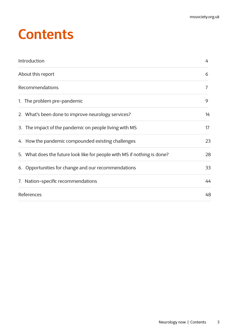## **Contents**

| Introduction                                                             | 4  |
|--------------------------------------------------------------------------|----|
| About this report                                                        | 6  |
| Recommendations                                                          | 7  |
| 1. The problem pre-pandemic                                              | 9  |
| 2. What's been done to improve neurology services?                       | 14 |
| 3. The impact of the pandemic on people living with MS                   | 17 |
| 4. How the pandemic compounded existing challenges                       | 23 |
| 5. What does the future look like for people with MS if nothing is done? | 28 |
| 6. Opportunities for change and our recommendations                      | 33 |
| 7. Nation-specific recommendations                                       | 44 |
| References                                                               | 48 |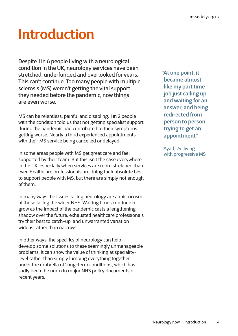## <span id="page-3-0"></span>**Introduction**

Despite 1 in 6 people living with a neurological condition in the UK, neurology services have been stretched, underfunded and overlooked for years. This can't continue. Too many people with multiple sclerosis (MS) weren't getting the vital support they needed before the pandemic, now things are even worse.

MS can be relentless, painful and disabling. 1 in 2 people with the condition told us that not getting specialist support during the pandemic had contributed to their symptoms getting worse. Nearly a third experienced appointments with their MS service being cancelled or delayed.

In some areas people with MS get great care and feel supported by their team. But this isn't the case everywhere in the UK, especially when services are more stretched than ever. Healthcare professionals are doing their absolute best to support people with MS, but there are simply not enough of them.

In many ways the issues facing neurology are a microcosm of those facing the wider NHS. Waiting times continue to grow as the impact of the pandemic casts a lengthening shadow over the future, exhausted healthcare professionals try their best to catch-up, and unwarranted variation widens rather than narrows.

In other ways, the specifics of neurology can help develop some solutions to these seemingly unmanageable problems. It can show the value of thinking at specialitylevel rather than simply lumping everything together under the umbrella of 'long-term conditions', which has sadly been the norm in major NHS policy documents of recent years.

**"At one point, it became almost like my part time job just calling up and waiting for an answer, and being redirected from person to person trying to get an appointment"**

Ayad, 24, living with progressive MS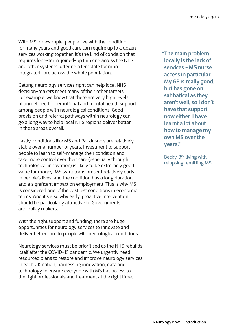With MS for example, people live with the condition for many years and good care can require up to a dozen services working together. It's the kind of condition that requires long-term, joined-up thinking across the NHS and other systems, offering a template for more integrated care across the whole population.

Getting neurology services right can help local NHS decision-makers meet many of their other targets. For example, we know that there are very high levels of unmet need for emotional and mental health support among people with neurological conditions. Good provision and referral pathways within neurology can go a long way to help local NHS regions deliver better in these areas overall.

Lastly, conditions like MS and Parkinson's are relatively stable over a number of years. Investment to support people to learn to self-manage their condition and take more control over their care (especially through technological innovation) is likely to be extremely good value for money. MS symptoms present relatively early in people's lives, and the condition has a long duration and a significant impact on employment. This is why MS is considered one of the costliest conditions in economic terms. And it's also why early, proactive intervention should be particularly attractive to Governments and policy makers.

With the right support and funding, there are huge opportunities for neurology services to innovate and deliver better care to people with neurological conditions.

Neurology services must be prioritised as the NHS rebuilds itself after the COVID-19 pandemic. We urgently need resourced plans to restore and improve neurology services in each UK nation, harnessing innovation, data and technology to ensure everyone with MS has access to the right professionals and treatment at the right time.

**"The main problem locally is the lack of services - MS nurse access in particular. My GP is really good, but has gone on sabbatical as they aren't well, so I don't have that support now either. I have learnt a lot about how to manage my own MS over the years."**

Becky, 39, living with relapsing remitting MS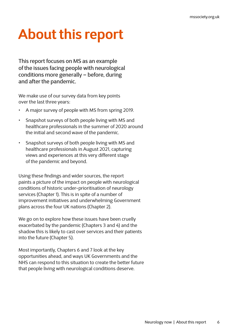## <span id="page-5-0"></span>**About this report**

This report focuses on MS as an example of the issues facing people with neurological conditions more generally – before, during and after the pandemic.

We make use of our survey data from key points over the last three years:

- A major survey of people with MS from spring 2019.
- Snapshot surveys of both people living with MS and healthcare professionals in the summer of 2020 around the initial and second wave of the pandemic.
- Snapshot surveys of both people living with MS and healthcare professionals in August 2021, capturing views and experiences at this very different stage of the pandemic and beyond.

Using these findings and wider sources, the report paints a picture of the impact on people with neurological conditions of historic under-prioritisation of neurology services (Chapter 1). This is in spite of a number of improvement initiatives and underwhelming Government plans across the four UK nations (Chapter 2).

We go on to explore how these issues have been cruelly exacerbated by the pandemic (Chapters 3 and 4) and the shadow this is likely to cast over services and their patients into the future (Chapter 5).

Most importantly, Chapters 6 and 7 look at the key opportunities ahead, and ways UK Governments and the NHS can respond to this situation to create the better future that people living with neurological conditions deserve.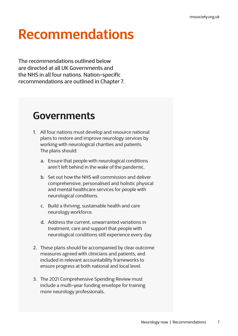## <span id="page-6-0"></span>**Recommendations**

The recommendations outlined below are directed at all UK Governments and the NHS in all four nations. Nation-specific recommendations are outlined in Chapter 7.

### **Governments**

- 1. All four nations must develop and resource national plans to restore and improve neurology services by working with neurological charities and patients. The plans should:
	- a. Ensure that people with neurological conditions aren't left behind in the wake of the pandemic.
	- b. Set out how the NHS will commission and deliver comprehensive, personalised and holistic physical and mental healthcare services for people with neurological conditions.
	- c. Build a thriving, sustainable health and care neurology workforce.
	- d. Address the current, unwarranted variations in treatment, care and support that people with neurological conditions still experience every day.
- 2. These plans should be accompanied by clear outcome measures agreed with clinicians and patients, and included in relevant accountability frameworks to ensure progress at both national and local level.
- 3. The 2021 Comprehensive Spending Review must include a multi-year funding envelope for training more neurology professionals.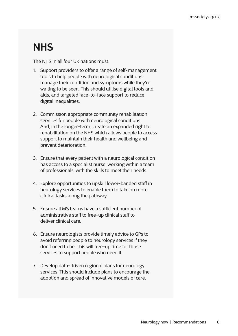## **NHS**

The NHS in all four UK nations must:

- 1. Support providers to offer a range of self-management tools to help people with neurological conditions manage their condition and symptoms while they're waiting to be seen. This should utilise digital tools and aids, and targeted face-to-face support to reduce digital inequalities.
- 2. Commission appropriate community rehabilitation services for people with neurological conditions. And, in the longer-term, create an expanded right to rehabilitation on the NHS which allows people to access support to maintain their health and wellbeing and prevent deterioration.
- 3. Ensure that every patient with a neurological condition has access to a specialist nurse, working within a team of professionals, with the skills to meet their needs.
- 4. Explore opportunities to upskill lower-banded staff in neurology services to enable them to take on more clinical tasks along the pathway.
- 5. Ensure all MS teams have a sufficient number of administrative staff to free-up clinical staff to deliver clinical care.
- 6. Ensure neurologists provide timely advice to GPs to avoid referring people to neurology services if they don't need to be. This will free-up time for those services to support people who need it.
- 7. Develop data-driven regional plans for neurology services. This should include plans to encourage the adoption and spread of innovative models of care.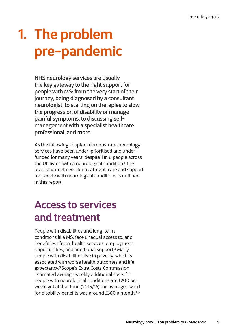# <span id="page-8-0"></span>**1. The problem pre-pandemic**

NHS neurology services are usually the key gateway to the right support for people with MS: from the very start of their journey, being diagnosed by a consultant neurologist, to starting on therapies to slow the progression of disability or manage painful symptoms, to discussing selfmanagement with a specialist healthcare professional, and more.

As the following chapters demonstrate, neurology services have been under-prioritised and underfunded for many years, despite 1 in 6 people across the UK living with a neurological condition.1 The level of unmet need for treatment, care and support for people with neurological conditions is outlined in this report.

### **Access to services and treatment**

People with disabilities and long-term conditions like MS, face unequal access to, and benefit less from, health services, employment opportunities, and additional support.2 Many people with disabilities live in poverty, which is associated with worse health outcomes and life expectancy.3 Scope's Extra Costs Commission estimated average weekly additional costs for people with neurological conditions are £200 per week, yet at that time (2015/16) the average award for disability benefits was around £360 a month.<sup>4,5</sup>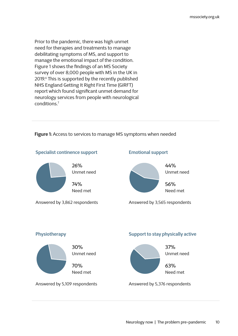Prior to the pandemic, there was high unmet need for therapies and treatments to manage debilitating symptoms of MS, and support to manage the emotional impact of the condition. Figure 1 shows the findings of an MS Society survey of over 8,000 people with MS in the UK in 2019.<sup>6</sup> This is supported by the recently published NHS England Getting It Right First Time (GIRFT) report which found significant unmet demand for neurology services from people with neurological conditions.7

#### **Specialist continence support** 26% Unmet need 74% Need met Answered by 3,862 respondents **Physiotherapy** 30% Unmet need 70% Need met Answered by 5,109 respondents **Emotional support** 44% Unmet need 56% Need met Answered by 3,565 respondents **Support to stay physically active** 37% Unmet need 63% Need met Answered by 5,376 respondents

#### **Figure 1:** Access to services to manage MS symptoms when needed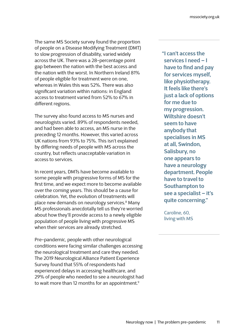The same MS Society survey found the proportion of people on a Disease Modifying Treatment (DMT) to slow progression of disability, varied widely across the UK. There was a 28-percentage point gap between the nation with the best access and the nation with the worst. In Northern Ireland 81% of people eligible for treatment were on one, whereas in Wales this was 52%. There was also significant variation within nations: in England access to treatment varied from 52% to 67% in different regions.

The survey also found access to MS nurses and neurologists varied. 89% of respondents needed, and had been able to access, an MS nurse in the preceding 12 months. However, this varied across UK nations from 93% to 75%. This isn't explained by differing needs of people with MS across the country, but reflects unacceptable variation in access to services.

In recent years, DMTs have become available to some people with progressive forms of MS for the first time, and we expect more to become available over the coming years. This should be a cause for celebration. Yet, the evolution of treatments will place new demands on neurology services.8 Many MS professionals anecdotally tell us they're worried about how they'll provide access to a newly eligible population of people living with progressive MS when their services are already stretched.

Pre-pandemic, people with other neurological conditions were facing similar challenges accessing the neurological treatment and care they needed. The 2019 Neurological Alliance Patient Experience Survey found that 55% of respondents had experienced delays in accessing healthcare, and 29% of people who needed to see a neurologist had to wait more than 12 months for an appointment.<sup>9</sup>

**"I can't access the services I need – I have to find and pay for services myself, like physiotherapy. It feels like there's just a lack of options for me due to my progression. Wiltshire doesn't seem to have anybody that specialises in MS at all, Swindon, Salisbury, no one appears to have a neurology department. People have to travel to Southampton to see a specialist – it's quite concerning."**

Caroline, 60, living with MS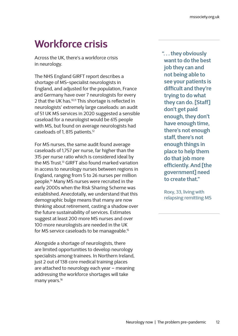## **Workforce crisis**

Across the UK, there's a workforce crisis in neurology.

The NHS England GIRFT report describes a shortage of MS-specialist neurologists in England, and adjusted for the population, France and Germany have over 7 neurologists for every 2 that the UK has.<sup>10,11</sup> This shortage is reflected in neurologists' extremely large caseloads: an audit of 51 UK MS services in 2020 suggested a sensible caseload for a neurologist would be 615 people with MS, but found on average neurologists had caseloads of 1, 815 patients.12

For MS nurses, the same audit found average caseloads of 1,757 per nurse, far higher than the 315 per nurse ratio which is considered ideal by the MS Trust.<sup>13</sup> GIRFT also found marked variation in access to neurology nurses between regions in England, ranging from 5 to 26 nurses per million people.14 Many MS nurses were recruited in the early 2000s when the Risk Sharing Scheme was established. Anecdotally, we understand that this demographic bulge means that many are now thinking about retirement, casting a shadow over the future sustainability of services. Estimates suggest at least 200 more MS nurses and over 100 more neurologists are needed in the UK for MS service caseloads to be manageable.15

Alongside a shortage of neurologists, there are limited opportunities to develop neurology specialists among trainees. In Northern Ireland, just 2 out of 138 core medical training places are attached to neurology each year – meaning addressing the workforce shortages will take many years.<sup>16</sup>

**". . . they obviously want to do the best job they can and not being able to see your patients is difficult and they're trying to do what they can do. [Staff] don't get paid enough, they don't have enough time, there's not enough staff, there's not enough things in place to help them do that job more efficiently. And [the government] need to create that."**

Roxy, 33, living with relapsing remitting MS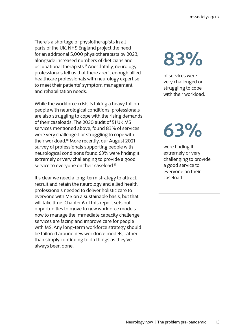There's a shortage of physiotherapists in all parts of the UK. NHS England project the need for an additional 5,000 physiotherapists by 2023, alongside increased numbers of dieticians and occupational therapists.<sup>17</sup> Anecdotally, neurology professionals tell us that there aren't enough allied healthcare professionals with neurology expertise to meet their patients' symptom management and rehabilitation needs.

While the workforce crisis is taking a heavy toll on people with neurological conditions, professionals are also struggling to cope with the rising demands of their caseloads. The 2020 audit of 51 UK MS services mentioned above, found 83% of services were very challenged or struggling to cope with their workload.18 More recently, our August 2021 survey of professionals supporting people with neurological conditions found 63% were finding it extremely or very challenging to provide a good service to everyone on their caseload.<sup>19</sup>

It's clear we need a long-term strategy to attract, recruit and retain the neurology and allied health professionals needed to deliver holistic care to everyone with MS on a sustainable basis, but that will take time. Chapter 6 of this report sets out opportunities to move to new workforce models now to manage the immediate capacity challenge services are facing and improve care for people with MS. Any long-term workforce strategy should be tailored around new workforce models, rather than simply continuing to do things as they've always been done.

# **83%**

of services were very challenged or struggling to cope with their workload.

# **63%**

were finding it extremely or very challenging to provide a good service to everyone on their caseload.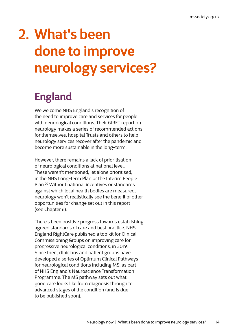## <span id="page-13-0"></span>**2. What's been done to improve neurology services?**

## **England**

We welcome NHS England's recognition of the need to improve care and services for people with neurological conditions. Their GIRFT report on neurology makes a series of recommended actions for themselves, hospital Trusts and others to help neurology services recover after the pandemic and become more sustainable in the long-term.

However, there remains a lack of prioritisation of neurological conditions at national level. These weren't mentioned, let alone prioritised, in the NHS Long-term Plan or the Interim People Plan.20 Without national incentives or standards against which local health bodies are measured, neurology won't realistically see the benefit of other opportunities for change set out in this report (see Chapter 6).

There's been positive progress towards establishing agreed standards of care and best practice. NHS England RightCare published a toolkit for Clinical Commissioning Groups on improving care for progressive neurological conditions, in 2019. Since then, clinicians and patient groups have developed a series of Optimum Clinical Pathways for neurological conditions including MS, as part of NHS England's Neuroscience Transformation Programme. The MS pathway sets out what good care looks like from diagnosis through to advanced stages of the condition (and is due to be published soon).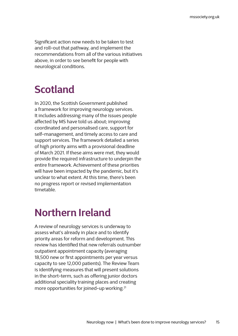Significant action now needs to be taken to test and roll-out that pathway, and implement the recommendations from all of the various initiatives above, in order to see benefit for people with neurological conditions.

## **Scotland**

In 2020, the Scottish Government published a framework for improving neurology services. It includes addressing many of the issues people affected by MS have told us about; improving coordinated and personalised care, support for self-management, and timely access to care and support services. The framework detailed a series of high priority aims with a provisional deadline of March 2021. If these aims were met, they would provide the required infrastructure to underpin the entire framework. Achievement of these priorities will have been impacted by the pandemic, but it's unclear to what extent. At this time, there's been no progress report or revised implementation timetable.

### **Northern Ireland**

A review of neurology services is underway to assess what's already in place and to identify priority areas for reform and development. This review has identified that new referrals outnumber outpatient appointment capacity (averaging 18,500 new or first appointments per year versus capacity to see 12,000 patients). The Review Team is identifying measures that will present solutions in the short-term, such as offering junior doctors additional speciality training places and creating more opportunities for joined-up working.<sup>21</sup>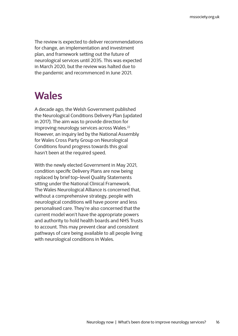The review is expected to deliver recommendations for change, an implementation and investment plan, and framework setting out the future of neurological services until 2035. This was expected in March 2020, but the review was halted due to the pandemic and recommenced in June 2021.

### **Wales**

A decade ago, the Welsh Government published the Neurological Conditions Delivery Plan (updated in 2017). The aim was to provide direction for improving neurology services across Wales.<sup>22</sup> However, an inquiry led by the National Assembly for Wales Cross Party Group on Neurological Conditions found progress towards this goal hasn't been at the required speed.

With the newly elected Government in May 2021, condition specific Delivery Plans are now being replaced by brief top-level Quality Statements sitting under the National Clinical Framework. The Wales Neurological Alliance is concerned that, without a comprehensive strategy, people with neurological conditions will have poorer and less personalised care. They're also concerned that the current model won't have the appropriate powers and authority to hold health boards and NHS Trusts to account. This may prevent clear and consistent pathways of care being available to all people living with neurological conditions in Wales.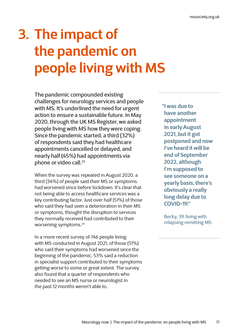# <span id="page-16-0"></span>**3. The impact of the pandemic on people living with MS**

The pandemic compounded existing challenges for neurology services and people with MS. It's underlined the need for urgent action to ensure a sustainable future. In May 2020, through the UK MS Register, we asked people living with MS how they were coping. Since the pandemic started, a third (32%) of respondents said they had healthcare appointments cancelled or delayed, and nearly half (45%) had appointments via phone or video call.<sup>23</sup>

When the survey was repeated in August 2020, a third (34%) of people said their MS or symptoms had worsened since before lockdown. It's clear that not being able to access healthcare services was a key contributing factor. Just over half (51%) of those who said they had seen a deterioration in their MS or symptoms, thought the disruption to services they normally received had contributed to their worsening symptoms.24

In a more recent survey of 746 people living with MS conducted in August 2021, of those (51%) who said their symptoms had worsened since the beginning of the pandemic, 53% said a reduction in specialist support contributed to their symptoms getting worse to some or great extent. The survey also found that a quarter of respondents who needed to see an MS nurse or neurologist in the past 12 months weren't able to.

**"I was due to have another appointment in early August 2021, but it got postponed and now I've heard it will be end of September 2022, although I'm supposed to see someone on a yearly basis, there's obviously a really long delay due to COVID-19."**

Becky, 39, living with relapsing remitting MS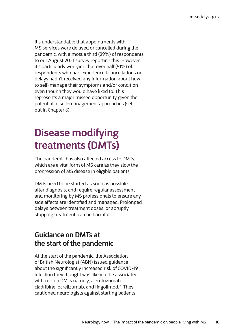It's understandable that appointments with MS services were delayed or cancelled during the pandemic, with almost a third (29%) of respondents to our August 2021 survey reporting this. However, it's particularly worrying that over half (51%) of respondents who had experienced cancellations or delays hadn't received any information about how to self-manage their symptoms and/or condition even though they would have liked to. This represents a major missed opportunity given the potential of self-management approaches (set out in Chapter 6).

## **Disease modifying treatments (DMTs)**

The pandemic has also affected access to DMTs, which are a vital form of MS care as they slow the progression of MS disease in eligible patients.

DMTs need to be started as soon as possible after diagnosis, and require regular assessment and monitoring by MS professionals to ensure any side effects are identified and managed. Prolonged delays between treatment doses, or abruptly stopping treatment, can be harmful.

### **Guidance on DMTs at the start of the pandemic**

At the start of the pandemic, the Association of British Neurologist (ABN) issued guidance about the significantly increased risk of COVID-19 infection they thought was likely to be associated with certain DMTs namely, alemtuzumab, cladribine, ocrelizumab, and fingolimod.25 They cautioned neurologists against starting patients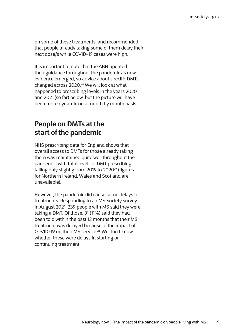on some of these treatments, and recommended that people already taking some of them delay their next dose/s while COVID-19 cases were high.

It is important to note that the ABN updated their guidance throughout the pandemic as new evidence emerged, so advice about specific DMTs changed across 2020.26 We will look at what happened to prescribing levels in the years 2020 and 2021 (so far) below, but the picture will have been more dynamic on a month by month basis.

### **People on DMTs at the start of the pandemic**

NHS prescribing data for England shows that overall access to DMTs for those already taking them was maintained quite well throughout the pandemic, with total levels of DMT prescribing falling only slightly from 2019 to 2020<sup>27</sup> (figures for Northern Ireland, Wales and Scotland are unavailable).

However, the pandemic did cause some delays to treatments. Responding to an MS Society survey in August 2021, 239 people with MS said they were taking a DMT. Of those, 31 (11%) said they had been told within the past 12 months that their MS treatment was delayed because of the impact of COVID-19 on their MS service.<sup>28</sup> We don't know whether these were delays in starting or continuing treatment.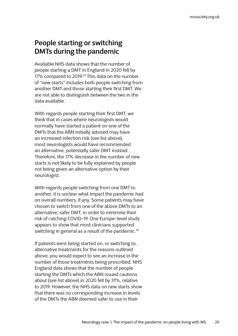### **People starting or switching DMTs during the pandemic**

Available NHS data shows that the number of people starting a DMT in England in 2020 fell by 17% compared to 2019.<sup>29</sup> This data on the number of "new starts" includes both people switching from another DMT and those starting their first DMT. We are not able to distinguish between the two in the data available.

With regards people starting their first DMT, we think that in cases where neurologists would normally have started a patient on one of the DMTs that the ABN initially advised may have an increased infection risk (see list above), most neurologists would have recommended an alternative, potentially safer DMT instead. Therefore, the 17% decrease in the number of new starts is not likely to be fully explained by people not being given an alternative option by their neurologist.

With regards people switching from one DMT to another, it is unclear what impact the pandemic had on overall numbers, if any. Some patients may have chosen to switch from one of the above DMTs to an alternative, safer DMT, in order to minimise their risk of catching COVID-19. One Europe-level study appears to show that most clinicians supported switching in general as a result of the pandemic.<sup>30</sup>

If patients were being started on, or switching to, alternative treatments for the reasons outlined above, you would expect to see an increase in the number of those treatments being prescribed. NHS England data shows that the number of people starting the DMTs which the ABN issued cautions about (see list above) in 2020 fell by 31%, relative to 2019. However, the NHS data on new starts show that there was no corresponding increase in levels of the DMTs the ABN deemed safer to use in their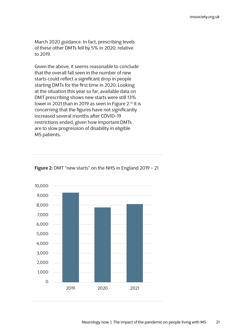March 2020 guidance. In fact, prescribing levels of these other DMTs fell by 5% in 2020, relative to 2019.

Given the above, it seems reasonable to conclude that the overall fall seen in the number of new starts could reflect a significant drop in people starting DMTs for the first time in 2020. Looking at the situation this year so far, available data on DMT prescribing shows new starts were still 13% lower in 2021 than in 2019 as seen in Figure 2.<sup>31</sup> It is concerning that the figures have not significantly increased several months after COVID-19 restrictions ended, given how important DMTs are to slow progression of disability in eligible MS patients.



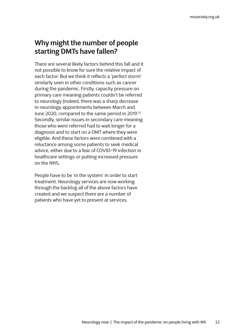### **Why might the number of people starting DMTs have fallen?**

There are several likely factors behind this fall and it not possible to know for sure the relative impact of each factor. But we think it reflects a 'perfect storm' similarly seen in other conditions such as cancer during the pandemic. Firstly, capacity pressure on primary care meaning patients couldn't be referred to neurology (indeed, there was a sharp decrease in neurology appointments between March and June 2020, compared to the same period in 2019.<sup>32</sup> Secondly, similar issues in secondary care meaning those who were referred had to wait longer for a diagnosis and to start on a DMT where they were eligible. And these factors were combined with a reluctance among some patients to seek medical advice, either due to a fear of COVID-19 infection in healthcare settings or putting increased pressure on the NHS.

People have to be 'in the system' in order to start treatment. Neurology services are now working through the backlog all of the above factors have created and we suspect there are a number of patients who have yet to present at services.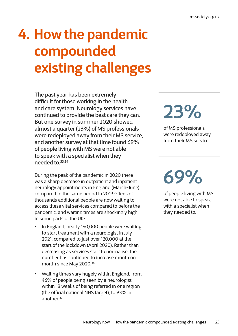# <span id="page-22-0"></span>**4. How the pandemic compounded existing challenges**

The past year has been extremely difficult for those working in the health and care system. Neurology services have continued to provide the best care they can. But one survey in summer 2020 showed almost a quarter (23%) of MS professionals were redeployed away from their MS service, and another survey at that time found 69% of people living with MS were not able to speak with a specialist when they needed to.33,34

During the peak of the pandemic in 2020 there was a sharp decrease in outpatient and inpatient neurology appointments in England (March-June) compared to the same period in 2019.<sup>35</sup> Tens of thousands additional people are now waiting to access these vital services compared to before the pandemic, and waiting times are shockingly high in some parts of the UK:

- In England, nearly 150,000 people were waiting to start treatment with a neurologist in July 2021, compared to just over 120,000 at the start of the lockdown (April 2020). Rather than decreasing as services start to normalise, the number has continued to increase month on month since May 2020.<sup>36</sup>
- Waiting times vary hugely within England, from 46% of people being seen by a neurologist within 18 weeks of being referred in one region (the official national NHS target), to 93% in another $37$

# **23%**

of MS professionals were redeployed away from their MS service.

**69%**

of people living with MS were not able to speak with a specialist when they needed to.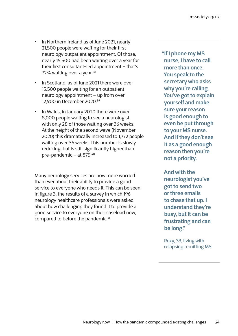- In Northern Ireland as of June 2021, nearly 21,500 people were waiting for their first neurology outpatient appointment. Of those, nearly 15,500 had been waiting over a year for their first consultant-led appointment – that's 72% waiting over a year.<sup>38</sup>
- In Scotland, as of June 2021 there were over 15,500 people waiting for an outpatient neurology appointment – up from over 12,900 in December 2020.39
- In Wales, in January 2020 there were over 8,000 people waiting to see a neurologist, with only 28 of those waiting over 36 weeks. At the height of the second wave (November 2020) this dramatically increased to 1,772 people waiting over 36 weeks. This number is slowly reducing, but is still significantly higher than pre-pandemic – at 875.40

Many neurology services are now more worried than ever about their ability to provide a good service to everyone who needs it. This can be seen in figure 3, the results of a survey in which 196 neurology healthcare professionals were asked about how challenging they found it to provide a good service to everyone on their caseload now, compared to before the pandemic.41

**"If I phone my MS nurse, I have to call more than once. You speak to the secretary who asks why you're calling. You've got to explain yourself and make sure your reason is good enough to even be put through to your MS nurse. And if they don't see it as a good enough reason then you're not a priority.** 

**And with the neurologist you've got to send two or three emails to chase that up. I understand they're busy, but it can be frustrating and can be long."**

Roxy, 33, living with relapsing remitting MS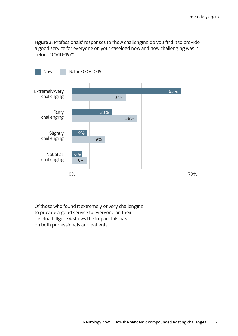**Figure 3:** Professionals' responses to "how challenging do you find it to provide a good service for everyone on your caseload now and how challenging was it before COVID-19?"



Of those who found it extremely or very challenging to provide a good service to everyone on their caseload, figure 4 shows the impact this has on both professionals and patients.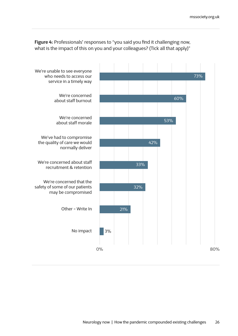**Figure 4:** Professionals' responses to "you said you find it challenging now, what is the impact of this on you and your colleagues? (Tick all that apply)"

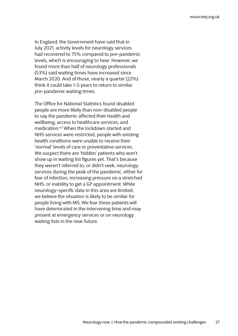In England, the Government have said that in July 2021, activity levels for neurology services had recovered to 75% compared to pre-pandemic levels, which is encouraging to hear. However, we found more than half of neurology professionals (53%) said waiting times have increased since March 2020. And of those, nearly a quarter (22%) think it could take 1-5 years to return to similar pre-pandemic waiting times.

The Office for National Statistics found disabled people are more likely than non-disabled people to say the pandemic affected their health and wellbeing, access to healthcare services, and medication.42 When the lockdown started and NHS services were restricted, people with existing health conditions were unable to receive their 'normal' levels of care or preventative services. We suspect there are 'hidden' patients who won't show up in waiting list figures yet. That's because they weren't referred to, or didn't seek, neurology services during the peak of the pandemic, either for fear of infection, increasing pressure on a stretched NHS, or inability to get a GP appointment. While neurology-specific data in this area are limited, we believe the situation is likely to be similar for people living with MS. We fear these patients will have deteriorated in the intervening time and may present at emergency services or on neurology waiting lists in the near future.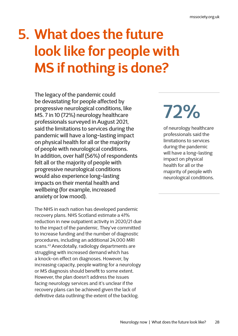# <span id="page-27-0"></span>**5. What does the future look like for people with MS if nothing is done?**

The legacy of the pandemic could be devastating for people affected by progressive neurological conditions, like MS. 7 in 10 (72%) neurology healthcare professionals surveyed in August 2021, said the limitations to services during the pandemic will have a long-lasting impact on physical health for all or the majority of people with neurological conditions. In addition, over half (56%) of respondents felt all or the majority of people with progressive neurological conditions would also experience long-lasting impacts on their mental health and wellbeing (for example, increased anxiety or low mood).

The NHS in each nation has developed pandemic recovery plans. NHS Scotland estimate a 41% reduction in new outpatient activity in 2020/21 due to the impact of the pandemic. They've committed to increase funding and the number of diagnostic procedures, including an additional 24,000 MRI scans.43 Anecdotally, radiology departments are struggling with increased demand which has a knock-on effect on diagnoses. However, by increasing capacity, people waiting for a neurology or MS diagnosis should benefit to some extent. However, the plan doesn't address the issues facing neurology services and it's unclear if the recovery plans can be achieved given the lack of definitive data outlining the extent of the backlog.

# **72%**

of neurology healthcare professionals said the limitations to services during the pandemic will have a long-lasting impact on physical health for all or the majority of people with neurological conditions.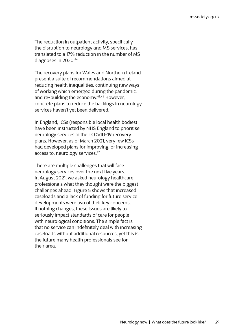The reduction in outpatient activity, specifically the disruption to neurology and MS services, has translated to a 17% reduction in the number of MS diagnoses in 2020.44

The recovery plans for Wales and Northern Ireland present a suite of recommendations aimed at reducing health inequalities, continuing new ways of working which emerged during the pandemic, and re-building the economy.<sup>45,46</sup> However. concrete plans to reduce the backlogs in neurology services haven't yet been delivered.

In England, ICSs (responsible local health bodies) have been instructed by NHS England to prioritise neurology services in their COVID-19 recovery plans. However, as of March 2021, very few ICSs had developed plans for improving, or increasing access to, neurology services.<sup>47</sup>

There are multiple challenges that will face neurology services over the next five years. In August 2021, we asked neurology healthcare professionals what they thought were the biggest challenges ahead. Figure 5 shows that increased caseloads and a lack of funding for future service developments were two of their key concerns. If nothing changes, these issues are likely to seriously impact standards of care for people with neurological conditions. The simple fact is that no service can indefinitely deal with increasing caseloads without additional resources, yet this is the future many health professionals see for their area.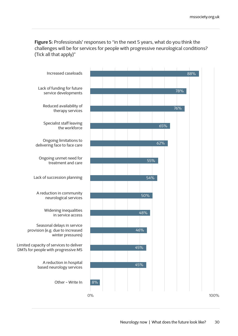**Figure 5:** Professionals' responses to "in the next 5 years, what do you think the challenges will be for services for people with progressive neurological conditions? (Tick all that apply)"

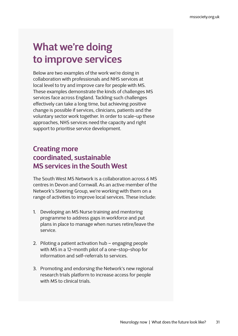### **What we're doing to improve services**

Below are two examples of the work we're doing in collaboration with professionals and NHS services at local level to try and improve care for people with MS. These examples demonstrate the kinds of challenges MS services face across England. Tackling such challenges effectively can take a long time, but achieving positive change is possible if services, clinicians, patients and the voluntary sector work together. In order to scale-up these approaches, NHS services need the capacity and right support to prioritise service development.

#### **Creating more coordinated, sustainable MS services in the South West**

The South West MS Network is a collaboration across 6 MS centres in Devon and Cornwall. As an active member of the Network's Steering Group, we're working with them on a range of activities to improve local services. These include:

- 1. Developing an MS Nurse training and mentoring programme to address gaps in workforce and put plans in place to manage when nurses retire/leave the service.
- 2. Piloting a patient activation hub engaging people with MS in a 12-month pilot of a one-stop-shop for information and self-referrals to services.
- 3. Promoting and endorsing the Network's new regional research trials platform to increase access for people with MS to clinical trials.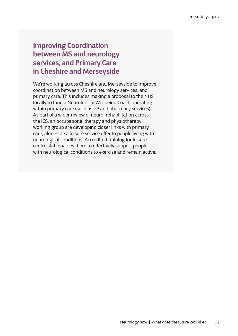#### **Improving Coordination between MS and neurology services, and Primary Care in Cheshire and Merseyside**

We're working across Cheshire and Merseyside to improve coordination between MS and neurology services, and primary care. This includes making a proposal to the NHS locally to fund a Neurological Wellbeing Coach operating within primary care (such as GP and pharmacy services). As part of a wider review of neuro-rehabilitation across the ICS, an occupational therapy and physiotherapy working group are developing closer links with primary care, alongside a leisure service offer to people living with neurological conditions. Accredited training for leisure centre staff enables them to effectively support people with neurological conditions to exercise and remain active.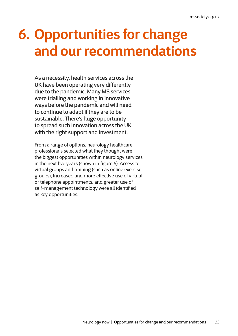## <span id="page-32-0"></span>**6. Opportunities for change and our recommendations**

As a necessity, health services across the UK have been operating very differently due to the pandemic. Many MS services were trialling and working in innovative ways before the pandemic and will need to continue to adapt if they are to be sustainable. There's huge opportunity to spread such innovation across the UK, with the right support and investment.

From a range of options, neurology healthcare professionals selected what they thought were the biggest opportunities within neurology services in the next five years (shown in figure 6). Access to virtual groups and training (such as online exercise groups), increased and more effective use of virtual or telephone appointments, and greater use of self-management technology were all identified as key opportunities.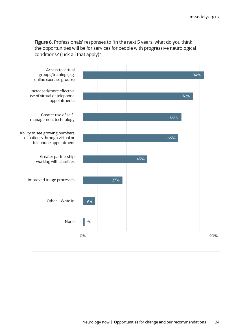**Figure 6:** Professionals' responses to "in the next 5 years, what do you think the opportunities will be for services for people with progressive neurological conditions? (Tick all that apply)"

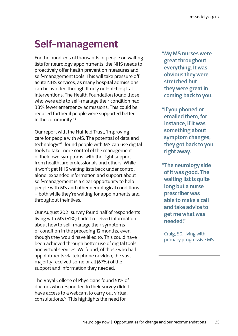## **Self-management**

For the hundreds of thousands of people on waiting lists for neurology appointments, the NHS needs to proactively offer health prevention measures and self-management tools. This will take pressure off acute NHS services, as many hospital admissions can be avoided through timely out-of-hospital interventions. The Health Foundation found those who were able to self-manage their condition had 38% fewer emergency admissions. This could be reduced further if people were supported better in the community.48

Our report with the Nuffield Trust, 'Improving care for people with MS: The potential of data and technology'49, found people with MS can use digital tools to take more control of the management of their own symptoms, with the right support from healthcare professionals and others. While it won't get NHS waiting lists back under control alone, expanded information and support about self-management is a clear opportunity to help people with MS and other neurological conditions – both while they're waiting for appointments and throughout their lives.

Our August 2021 survey found half of respondents living with MS (51%) hadn't received information about how to self-manage their symptoms or condition in the preceding 12 months, even though they would have liked to. This could have been achieved through better use of digital tools and virtual services. We found, of those who had appointments via telephone or video, the vast majority received some or all (67%) of the support and information they needed.

The Royal College of Physicians found 51% of doctors who responded to their survey didn't have access to a webcam to carry out virtual consultations.50 This highlights the need for

**"My MS nurses were great throughout everything. It was obvious they were stretched but they were great in coming back to you.**

- **"If you phoned or emailed them, for instance, if it was something about symptom changes, they got back to you right away.**
- **"The neurology side of it was good. The waiting list is quite long but a nurse prescriber was able to make a call and take advice to get me what was needed."**

Craig, 50, living with primary progressive MS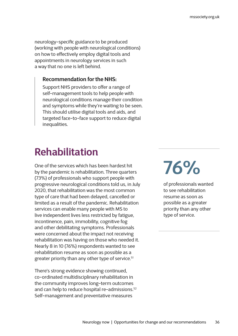neurology-specific guidance to be produced (working with people with neurological conditions) on how to effectively employ digital tools and appointments in neurology services in such a way that no one is left behind.

#### **Recommendation for the NHS:**

Support NHS providers to offer a range of self-management tools to help people with neurological conditions manage their condition and symptoms while they're waiting to be seen. This should utilise digital tools and aids, and targeted face-to-face support to reduce digital inequalities.

### **Rehabilitation**

One of the services which has been hardest hit by the pandemic is rehabilitation. Three quarters (73%) of professionals who support people with progressive neurological conditions told us, in July 2020, that rehabilitation was the most common type of care that had been delayed, cancelled or limited as a result of the pandemic. Rehabilitation services can enable many people with MS to live independent lives less restricted by fatigue, incontinence, pain, immobility, cognitive fog and other debilitating symptoms. Professionals were concerned about the impact not receiving rehabilitation was having on those who needed it. Nearly 8 in 10 (76%) respondents wanted to see rehabilitation resume as soon as possible as a greater priority than any other type of service.<sup>51</sup>

There's strong evidence showing continued, co-ordinated multidisciplinary rehabilitation in the community improves long-term outcomes and can help to reduce hospital re-admissions.<sup>52</sup> Self-management and preventative measures

# **76%**

of professionals wanted to see rehabilitation resume as soon as possible as a greater priority than any other type of service.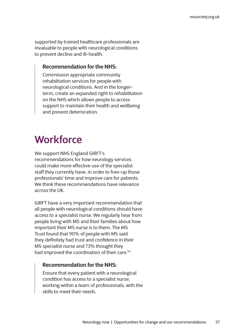supported by trained healthcare professionals are invaluable to people with neurological conditions to prevent decline and ill-health.

#### **Recommendation for the NHS:**

Commission appropriate community rehabilitation services for people with neurological conditions. And in the longerterm, create an expanded right to rehabilitation on the NHS which allows people to access support to maintain their health and wellbeing and prevent deterioration.

## **Workforce**

We support NHS England GIRFT's recommendations for how neurology services could make more effective use of the specialist staff they currently have, in order to free-up those professionals' time and improve care for patients. We think these recommendations have relevance across the UK.

GIRFT have a very important recommendation that all people with neurological conditions should have access to a specialist nurse. We regularly hear from people living with MS and their families about how important their MS nurse is to them. The MS Trust found that 90% of people with MS said they definitely had trust and confidence in their MS specialist nurse and 73% thought they had improved the coordination of their care.<sup>53</sup>

#### **Recommendation for the NHS:**

Ensure that every patient with a neurological condition has access to a specialist nurse, working within a team of professionals, with the skills to meet their needs.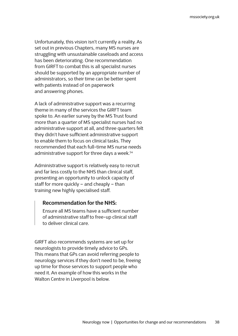Unfortunately, this vision isn't currently a reality. As set out in previous Chapters, many MS nurses are struggling with unsustainable caseloads and access has been deteriorating. One recommendation from GIRFT to combat this is all specialist nurses should be supported by an appropriate number of administrators, so their time can be better spent with patients instead of on paperwork and answering phones.

A lack of administrative support was a recurring theme in many of the services the GIRFT team spoke to. An earlier survey by the MS Trust found more than a quarter of MS specialist nurses had no administrative support at all, and three quarters felt they didn't have sufficient administrative support to enable them to focus on clinical tasks. They recommended that each full-time MS nurse needs administrative support for three days a week.<sup>54</sup>

Administrative support is relatively easy to recruit and far less costly to the NHS than clinical staff, presenting an opportunity to unlock capacity of staff for more quickly – and cheaply – than training new highly specialised staff.

#### **Recommendation for the NHS:**

Ensure all MS teams have a sufficient number of administrative staff to free-up clinical staff to deliver clinical care.

GIRFT also recommends systems are set up for neurologists to provide timely advice to GPs. This means that GPs can avoid referring people to neurology services if they don't need to be, freeing up time for those services to support people who need it. An example of how this works in the Walton Centre in Liverpool is below.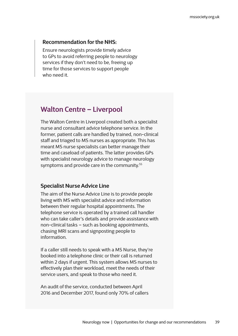#### **Recommendation for the NHS:**

Ensure neurologists provide timely advice to GPs to avoid referring people to neurology services if they don't need to be, freeing up time for those services to support people who need it.

#### **Walton Centre – Liverpool**

The Walton Centre in Liverpool created both a specialist nurse and consultant advice telephone service. In the former, patient calls are handled by trained, non-clinical staff and triaged to MS nurses as appropriate. This has meant MS nurse specialists can better manage their time and caseload of patients. The latter provides GPs with specialist neurology advice to manage neurology symptoms and provide care in the community.<sup>55</sup>

#### **Specialist Nurse Advice Line**

The aim of the Nurse Advice Line is to provide people living with MS with specialist advice and information between their regular hospital appointments. The telephone service is operated by a trained call handler who can take caller's details and provide assistance with non-clinical tasks – such as booking appointments, chasing MRI scans and signposting people to information.

If a caller still needs to speak with a MS Nurse, they're booked into a telephone clinic or their call is returned within 2 days if urgent. This system allows MS nurses to effectively plan their workload, meet the needs of their service users, and speak to those who need it.

An audit of the service, conducted between April 2016 and December 2017, found only 70% of callers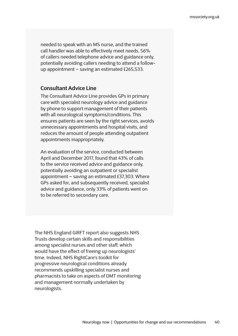needed to speak with an MS nurse, and the trained call handler was able to effectively meet needs. 56% of callers needed telephone advice and guidance only, potentially avoiding callers needing to attend a followup appointment – saving an estimated £265,533.

#### **Consultant Advice Line**

The Consultant Advice Line provides GPs in primary care with specialist neurology advice and guidance by phone to support management of their patients with all neurological symptoms/conditions. This ensures patients are seen by the right services, avoids unnecessary appointments and hospital visits, and reduces the amount of people attending outpatient appointments inappropriately.

An evaluation of the service, conducted between April and December 2017, found that 43% of calls to the service received advice and guidance only, potentially avoiding an outpatient or specialist appointment – saving an estimated £37,303. Where GPs asked for, and subsequently received, specialist advice and guidance, only 33% of patients went on to be referred to secondary care.

The NHS England GIRFT report also suggests NHS Trusts develop certain skills and responsibilities among specialist nurses and other staff, which would have the effect of freeing up neurologists' time. Indeed, NHS RightCare's toolkit for progressive neurological conditions already recommends upskilling specialist nurses and pharmacists to take on aspects of DMT monitoring and management normally undertaken by neurologists.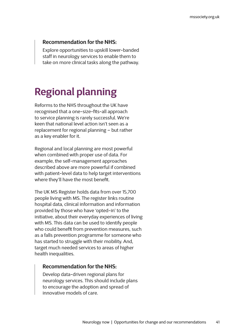#### **Recommendation for the NHS:**

Explore opportunities to upskill lower-banded staff in neurology services to enable them to take on more clinical tasks along the pathway.

## **Regional planning**

Reforms to the NHS throughout the UK have recognised that a one-size-fits-all approach to service planning is rarely successful. We're keen that national level action isn't seen as a replacement for regional planning – but rather as a key enabler for it.

Regional and local planning are most powerful when combined with proper use of data. For example, the self-management approaches described above are more powerful if combined with patient-level data to help target interventions where they'll have the most benefit.

The UK MS Register holds data from over 15,700 people living with MS. The register links routine hospital data, clinical information and information provided by those who have 'opted-in' to the initiative, about their everyday experiences of living with MS. This data can be used to identify people who could benefit from prevention measures, such as a falls prevention programme for someone who has started to struggle with their mobility. And, target much needed services to areas of higher health inequalities.

#### **Recommendation for the NHS:**

Develop data-driven regional plans for neurology services. This should include plans to encourage the adoption and spread of innovative models of care.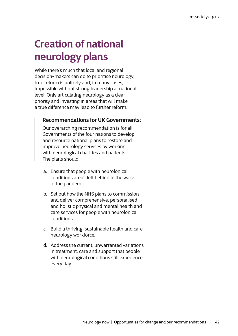## **Creation of national neurology plans**

While there's much that local and regional decision-makers can do to prioritise neurology, true reform is unlikely and, in many cases, impossible without strong leadership at national level. Only articulating neurology as a clear priority and investing in areas that will make a true difference may lead to further reform.

#### **Recommendations for UK Governments:**

Our overarching recommendation is for all Governments of the four nations to develop and resource national plans to restore and improve neurology services by working with neurological charities and patients. The plans should:

- a. Ensure that people with neurological conditions aren't left behind in the wake of the pandemic.
- b. Set out how the NHS plans to commission and deliver comprehensive, personalised and holistic physical and mental health and care services for people with neurological conditions.
- c. Build a thriving, sustainable health and care neurology workforce.
- d. Address the current, unwarranted variations in treatment, care and support that people with neurological conditions still experience every day.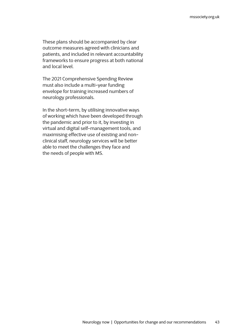These plans should be accompanied by clear outcome measures agreed with clinicians and patients, and included in relevant accountability frameworks to ensure progress at both national and local level.

The 2021 Comprehensive Spending Review must also include a multi-year funding envelope for training increased numbers of neurology professionals.

In the short-term, by utilising innovative ways of working which have been developed through the pandemic and prior to it, by investing in virtual and digital self-management tools, and maximising effective use of existing and nonclinical staff, neurology services will be better able to meet the challenges they face and the needs of people with MS.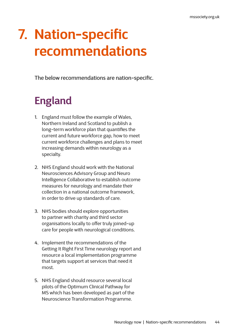## <span id="page-43-0"></span>**7. Nation-specific recommendations**

The below recommendations are nation-specific.

## **England**

- 1. England must follow the example of Wales, Northern Ireland and Scotland to publish a long-term workforce plan that quantifies the current and future workforce gap, how to meet current workforce challenges and plans to meet increasing demands within neurology as a specialty.
- 2. NHS England should work with the National Neurosciences Advisory Group and Neuro Intelligence Collaborative to establish outcome measures for neurology and mandate their collection in a national outcome framework, in order to drive up standards of care.
- 3. NHS bodies should explore opportunities to partner with charity and third sector organisations locally to offer truly joined-up care for people with neurological conditions.
- 4. Implement the recommendations of the Getting It Right First Time neurology report and resource a local implementation programme that targets support at services that need it most.
- 5. NHS England should resource several local pilots of the Optimum Clinical Pathway for MS which has been developed as part of the Neuroscience Transformation Programme.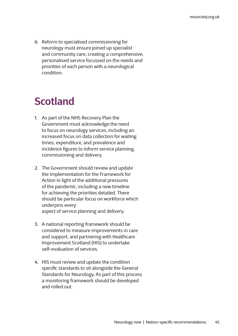6. Reform to specialised commissioning for neurology must ensure joined up specialist and community care, creating a comprehensive, personalised service focussed on the needs and priorities of each person with a neurological condition.

## **Scotland**

- 1. As part of the NHS Recovery Plan the Government must acknowledge the need to focus on neurology services, including an increased focus on data collection for waiting times, expenditure, and prevalence and incidence figures to inform service planning, commissioning and delivery.
- 2. The Government should review and update the implementation for the Framework for Action in light of the additional pressures of the pandemic, including a new timeline for achieving the priorities detailed. There should be particular focus on workforce which underpins every aspect of service planning and delivery.
- 3. A national reporting framework should be considered to measure improvements in care and support, and partnering with Healthcare Improvement Scotland (HIS) to undertake self-evaluation of services.
- 4. HIS must review and update the condition specific standards to sit alongside the General Standards for Neurology. As part of this process a monitoring framework should be developed and rolled out.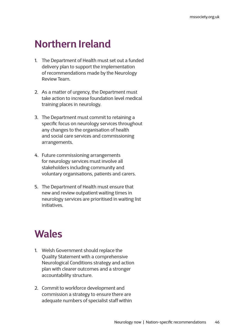### **Northern Ireland**

- 1. The Department of Health must set out a funded delivery plan to support the implementation of recommendations made by the Neurology Review Team.
- 2. As a matter of urgency, the Department must take action to increase foundation level medical training places in neurology.
- 3. The Department must commit to retaining a specific focus on neurology services throughout any changes to the organisation of health and social care services and commissioning arrangements.
- 4. Future commissioning arrangements for neurology services must involve all stakeholders including community and voluntary organisations, patients and carers.
- 5. The Department of Health must ensure that new and review outpatient waiting times in neurology services are prioritised in waiting list initiatives.

### **Wales**

- 1. Welsh Government should replace the Quality Statement with a comprehensive Neurological Conditions strategy and action plan with clearer outcomes and a stronger accountability structure.
- 2. Commit to workforce development and commission a strategy to ensure there are adequate numbers of specialist staff within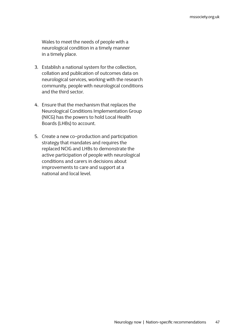Wales to meet the needs of people with a neurological condition in a timely manner in a timely place.

- 3. Establish a national system for the collection, collation and publication of outcomes data on neurological services, working with the research community, people with neurological conditions and the third sector.
- 4. Ensure that the mechanism that replaces the Neurological Conditions Implementation Group (NICG) has the powers to hold Local Health Boards (LHBs) to account.
- 5. Create a new co-production and participation strategy that mandates and requires the replaced NCIG and LHBs to demonstrate the active participation of people with neurological conditions and carers in decisions about improvements to care and support at a national and local level.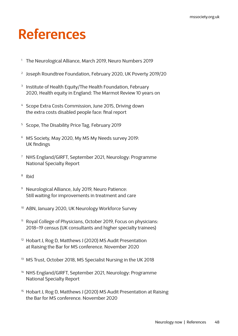## <span id="page-47-0"></span>**References**

- <sup>1</sup> The Neurological Alliance, March 2019, Neuro Numbers 2019
- <sup>2</sup> Joseph Roundtree Foundation, February 2020, UK Poverty 2019/20
- <sup>3</sup> Institute of Health Equity/The Health Foundation, February 2020, Health equity in England: The Marmot Review 10 years on
- <sup>4</sup> Scope Extra Costs Commission, June 2015, Driving down the extra costs disabled people face: final report
- <sup>5</sup> Scope, The Disability Price Tag, February 2019
- <sup>6</sup> MS Society, May 2020, My MS My Needs survey 2019: UK findings
- <sup>7</sup> NHS England/GIRFT, September 2021, Neurology: Programme National Specialty Report
- <sup>8</sup> Ibid
- <sup>9</sup> Neurological Alliance, July 2019, Neuro Patience: Still waiting for improvements in treatment and care
- <sup>10</sup> ABN, January 2020, UK Neurology Workforce Survey
- <sup>11</sup> Royal College of Physicians, October 2019, Focus on physicians: 2018–19 census (UK consultants and higher specialty trainees)
- <sup>12</sup> Hobart J, Rog D, Matthews J (2020) MS Audit Presentation at Raising the Bar for MS conference. November 2020
- <sup>13</sup> MS Trust, October 2018, MS Specialist Nursing in the UK 2018
- <sup>14</sup> NHS England/GIRFT, September 2021, Neurology: Programme National Specialty Report
- <sup>15</sup> Hobart J, Rog D, Matthews J (2020) MS Audit Presentation at Raising the Bar for MS conference. November 2020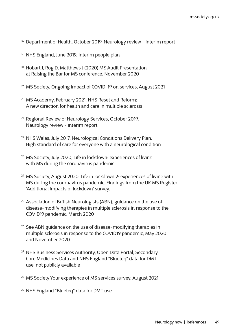- <sup>16</sup> Department of Health, October 2019, Neurology review interim report
- <sup>17</sup> NHS England, June 2019, Interim people plan
- <sup>18</sup> Hobart J, Rog D, Matthews J (2020) MS Audit Presentation at Raising the Bar for MS conference. November 2020
- <sup>19</sup> MS Society, Ongoing impact of COVID-19 on services, August 2021
- <sup>20</sup> MS Academy, February 2021, NHS Reset and Reform: A new direction for health and care in multiple sclerosis
- <sup>21</sup> Regional Review of Neurology Services, October 2019, Neurology review - interim report
- <sup>22</sup> NHS Wales, July 2017, Neurological Conditions Delivery Plan. High standard of care for everyone with a neurological condition
- <sup>23</sup> MS Society, July 2020, Life in lockdown: experiences of living with MS during the coronavirus pandemic
- <sup>24</sup> MS Society, August 2020, Life in lockdown 2: experiences of living with MS during the coronavirus pandemic. Findings from the UK MS Register 'Additional impacts of lockdown' survey.
- <sup>25</sup> Association of British Neurologists (ABN), guidance on the use of disease-modifying therapies in multiple sclerosis in response to the COVID19 pandemic, March 2020
- <sup>26</sup> See ABN guidance on the use of disease-modifying therapies in multiple sclerosis in response to the COVID19 pandemic, May 2020 and November 2020
- <sup>27</sup> NHS Business Services Authority, Open Data Portal, Secondary Care Medicines Data and NHS England "Blueteq" data for DMT use, not publicly available
- <sup>28</sup> MS Society Your experience of MS services survey, August 2021
- <sup>29</sup> NHS England "Blueteq" data for DMT use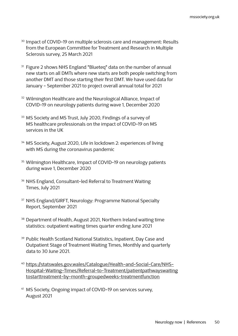- <sup>30</sup> Impact of COVID-19 on multiple sclerosis care and management: Results from the European Committee for Treatment and Research in Multiple Sclerosis survey, 25 March 2021
- <sup>31</sup> Figure 2 shows NHS England "Blueteq" data on the number of annual new starts on all DMTs where new starts are both people switching from another DMT and those starting their first DMT. We have used data for January - September 2021 to project overall annual total for 2021
- <sup>32</sup> Wilmington Healthcare and the Neurological Alliance, Impact of COVID-19 on neurology patients during wave 1, December 2020
- <sup>33</sup> MS Society and MS Trust, July 2020, Findings of a survey of MS healthcare professionals on the impact of COVID-19 on MS services in the UK
- <sup>34</sup> MS Society, August 2020, Life in lockdown 2: experiences of living with MS during the coronavirus pandemic
- <sup>35</sup> Wilmington Healthcare, Impact of COVID-19 on neurology patients during wave 1, December 2020
- <sup>36</sup> NHS England, Consultant-led Referral to Treatment Waiting Times, July 2021
- <sup>37</sup> NHS England/GIRFT, Neurology: Programme National Specialty Report, September 2021
- <sup>38</sup> Department of Health, August 2021, Northern Ireland waiting time statistics: outpatient waiting times quarter ending June 2021
- <sup>39</sup> Public Health Scotland National Statistics, Inpatient, Day Case and Outpatient Stage of Treatment Waiting Times, Monthly and quarterly data to 30 June 2021.
- <sup>40</sup> [https://statswales.gov.wales/Catalogue/Health-and-Social-Care/NHS-](https://statswales.gov.wales/Catalogue/Health-and-Social-Care/NHS-Hospital-Waiting-Times/Referral-to)[Hospital-Waiting-Times/Referral-to-Treatment/patientpathwayswaiting](https://statswales.gov.wales/Catalogue/Health-and-Social-Care/NHS-Hospital-Waiting-Times/Referral-to) [tostarttreatment-by-month-groupedweeks-treatmentfunction](https://statswales.gov.wales/Catalogue/Health-and-Social-Care/NHS-Hospital-Waiting-Times/Referral-to)
- <sup>41</sup> MS Society, Ongoing impact of COVID-19 on services survey, August 2021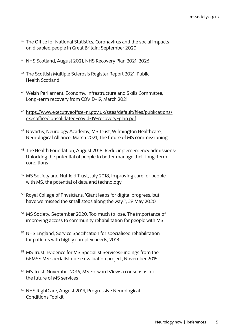- <sup>42</sup> The Office for National Statistics, Coronavirus and the social impacts on disabled people in Great Britain: September 2020
- <sup>43</sup> NHS Scotland, August 2021, NHS Recovery Plan 2021-2026
- <sup>44</sup> The Scottish Multiple Sclerosis Register Report 2021, Public Health Scotland
- <sup>45</sup> Welsh Parliament, Economy, Infrastructure and Skills Committee, Long-term recovery from COVID-19, March 2021
- <sup>46</sup> [https://www.executiveoffice-ni.gov.uk/sites/default/files/publications/](https://www.executiveoffice-ni.gov.uk/sites/default/files/publications/execoffice/consolidated-covid) [execoffice/consolidated-covid-19-recovery-plan.pdf](https://www.executiveoffice-ni.gov.uk/sites/default/files/publications/execoffice/consolidated-covid)
- <sup>47</sup> Novartis, Neurology Academy, MS Trust, Wilmington Healthcare, Neurological Alliance, March 2021, The future of MS commissioning
- <sup>48</sup> The Health Foundation, August 2018, Reducing emergency admissions: Unlocking the potential of people to better manage their long-term conditions
- <sup>49</sup> MS Society and Nuffield Trust, July 2018, Improving care for people with MS: the potential of data and technology
- <sup>50</sup> Royal College of Physicians, 'Giant leaps for digital progress, but have we missed the small steps along the way?', 29 May 2020
- <sup>51</sup> MS Society, September 2020, Too much to lose: The importance of improving access to community rehabilitation for people with MS
- <sup>52</sup> NHS England, Service Specification for specialised rehabilitation for patients with highly complex needs, 2013
- <sup>53</sup> MS Trust, Evidence for MS Specialist Services:Findings from the GEMSS MS specialist nurse evaluation project, November 2015
- <sup>54</sup> MS Trust, November 2016, MS Forward View: a consensus for the future of MS services
- <sup>55</sup> NHS RightCare, August 2019, Progressive Neurological Conditions Toolkit